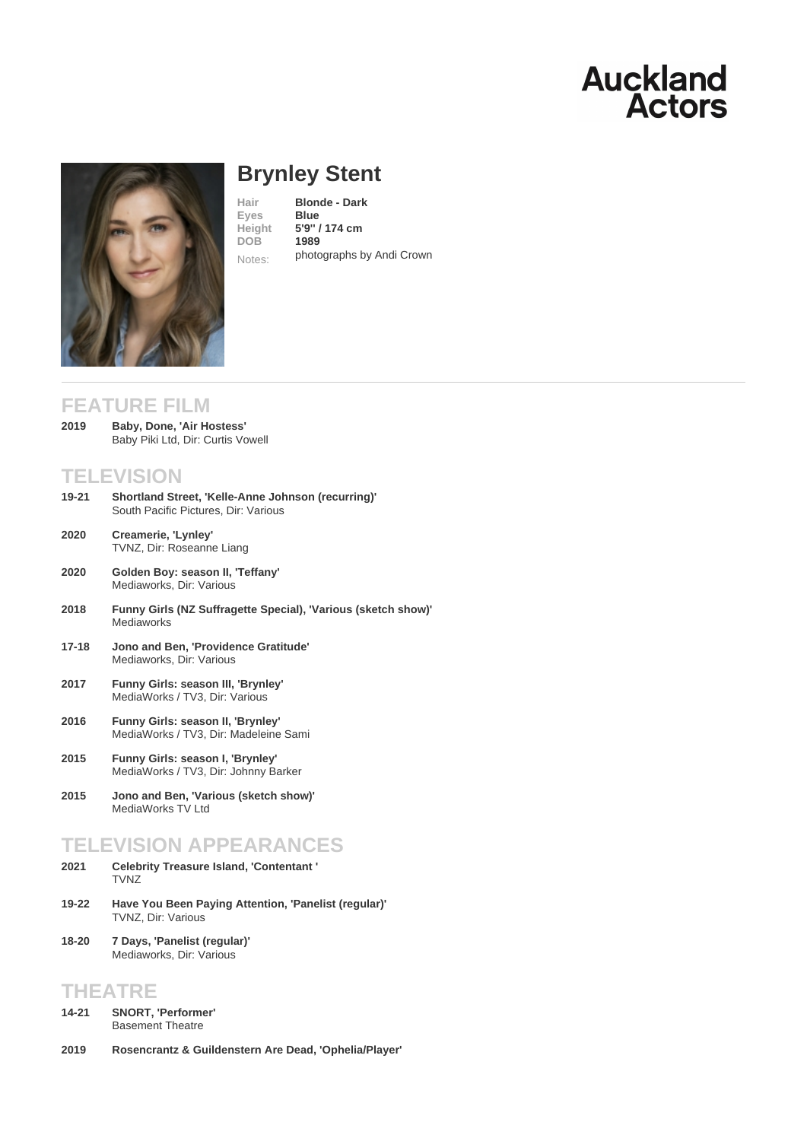# Brynley Stent

Hair **Blonde - Dark**<br>Eves **Blue** Eyes Height [5](/actors/details/brynley-stent)'[9](/actors/details/brynley-stent)" [/ 174 cm](/actors/details/brynley-stent)<br>DOB 1989 DOB Notes: photographs by Andi Crown

## FEATURE FILM

Baby, Done, 'Air Hostess' Baby Piki Ltd, Dir: Curtis Vowell 2019

## **TELEVISION**

| 19-21     | Shortland Street, 'Kelle-Anne Johnson (recurring)'<br>South Pacific Pictures, Dir: Various |
|-----------|--------------------------------------------------------------------------------------------|
| 2020      | Creamerie, 'Lynley'<br>TVNZ, Dir: Roseanne Liang                                           |
| 2020      | Golden Boy: season II, 'Teffany'<br>Mediaworks, Dir: Various                               |
| 2018      | Funny Girls (NZ Suffragette Special), 'Various (sketch show)'<br>Mediaworks                |
| $17 - 18$ | Jono and Ben, 'Providence Gratitude'<br>Mediaworks, Dir: Various                           |
| 2017      | Funny Girls: season III, 'Brynley'<br>MediaWorks / TV3, Dir: Various                       |
| 2016      | Funny Girls: season II, 'Brynley'<br>MediaWorks / TV3, Dir: Madeleine Sami                 |
| 2015      | Funny Girls: season I, 'Brynley'<br>MediaWorks / TV3, Dir: Johnny Barker                   |
| 2015      | Jono and Ben, 'Various (sketch show)'<br>MediaWorks TV I td                                |
|           |                                                                                            |

# TELEVISION APPEARANCES

- Celebrity Treasure Island, 'Contentant ' TVNZ 2021
- Have You Been Paying Attention, 'Panelist (regular)' TVNZ, Dir: Various 19-22
- 7 Days, 'Panelist (regular)' Mediaworks, Dir: Various 18-20

### THEATRE

- SNORT, 'Performer' Basement Theatre 14-21
- 2019 Rosencrantz & Guildenstern Are Dead, 'Ophelia/Player'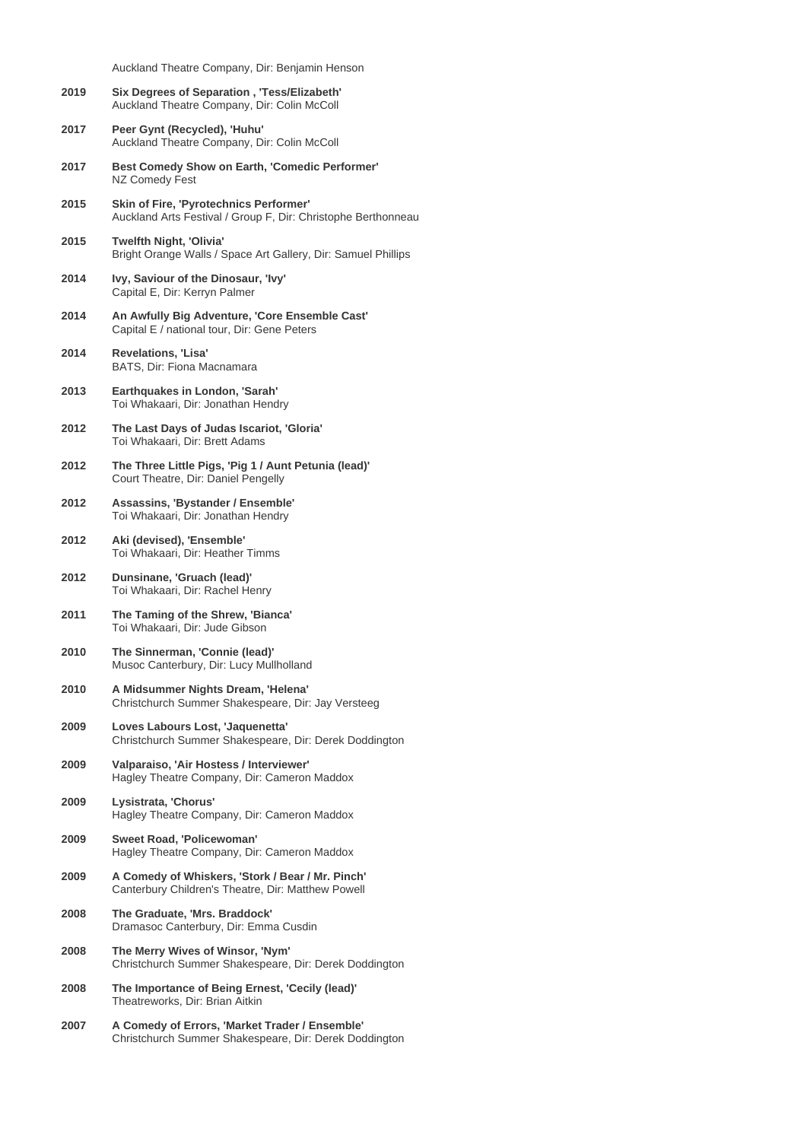Auckland Theatre Company, Dir: Benjamin Henson

- **Six Degrees of Separation , 'Tess/Elizabeth'** Auckland Theatre Company, Dir: Colin McColl **2019**
- **Peer Gynt (Recycled), 'Huhu'** Auckland Theatre Company, Dir: Colin McColl **2017**
- **Best Comedy Show on Earth, 'Comedic Performer'** NZ Comedy Fest **2017**
- **Skin of Fire, 'Pyrotechnics Performer'** Auckland Arts Festival / Group F, Dir: Christophe Berthonneau **2015**
- **Twelfth Night, 'Olivia'** Bright Orange Walls / Space Art Gallery, Dir: Samuel Phillips **2015**
- **Ivy, Saviour of the Dinosaur, 'Ivy'** Capital E, Dir: Kerryn Palmer **2014**
- **An Awfully Big Adventure, 'Core Ensemble Cast'** Capital E / national tour, Dir: Gene Peters **2014**
- **Revelations, 'Lisa'** BATS, Dir: Fiona Macnamara **2014**
- **Earthquakes in London, 'Sarah'** Toi Whakaari, Dir: Jonathan Hendry **2013**
- **The Last Days of Judas Iscariot, 'Gloria'** Toi Whakaari, Dir: Brett Adams **2012**
- **The Three Little Pigs, 'Pig 1 / Aunt Petunia (lead)'** Court Theatre, Dir: Daniel Pengelly **2012**
- **Assassins, 'Bystander / Ensemble'** Toi Whakaari, Dir: Jonathan Hendry **2012**
- **Aki (devised), 'Ensemble'** Toi Whakaari, Dir: Heather Timms **2012**
- **Dunsinane, 'Gruach (lead)'** Toi Whakaari, Dir: Rachel Henry **2012**
- **The Taming of the Shrew, 'Bianca'** Toi Whakaari, Dir: Jude Gibson **2011**
- **The Sinnerman, 'Connie (lead)'** Musoc Canterbury, Dir: Lucy Mullholland **2010**
- **A Midsummer Nights Dream, 'Helena'** Christchurch Summer Shakespeare, Dir: Jay Versteeg **2010**
- **Loves Labours Lost, 'Jaquenetta'** Christchurch Summer Shakespeare, Dir: Derek Doddington **2009**
- **Valparaiso, 'Air Hostess / Interviewer'** Hagley Theatre Company, Dir: Cameron Maddox **2009**
- **Lysistrata, 'Chorus'** Hagley Theatre Company, Dir: Cameron Maddox **2009**
- **Sweet Road, 'Policewoman'** Hagley Theatre Company, Dir: Cameron Maddox **2009**
- **A Comedy of Whiskers, 'Stork / Bear / Mr. Pinch'** Canterbury Children's Theatre, Dir: Matthew Powell **2009**
- **The Graduate, 'Mrs. Braddock'** Dramasoc Canterbury, Dir: Emma Cusdin **2008**
- **The Merry Wives of Winsor, 'Nym'** Christchurch Summer Shakespeare, Dir: Derek Doddington **2008**
- **The Importance of Being Ernest, 'Cecily (lead)'** Theatreworks, Dir: Brian Aitkin **2008**
- **A Comedy of Errors, 'Market Trader / Ensemble'** Christchurch Summer Shakespeare, Dir: Derek Doddington **2007**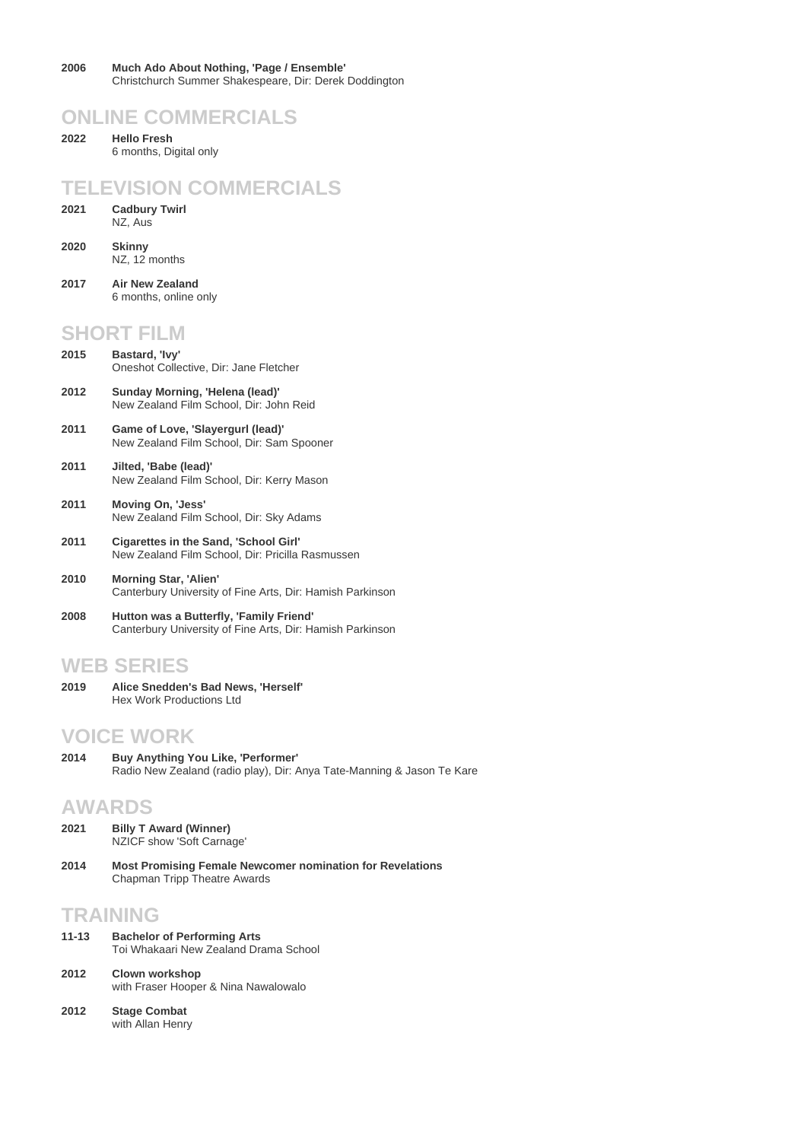**ONLINE COMMERCIALS**

**Hello Fresh** 6 months, Digital only **2022**

#### **TELEVISION COMMERCIALS**

- **Cadbury Twirl** NZ, Aus **2021**
- **Skinny**  NZ, 12 months **2020**
- **Air New Zealand** 6 months, online only **2017**

### **SHORT FILM**

- **Bastard, 'Ivy'** Oneshot Collective, Dir: Jane Fletcher **2015**
- **Sunday Morning, 'Helena (lead)'** New Zealand Film School, Dir: John Reid **2012**
- **Game of Love, 'Slayergurl (lead)'** New Zealand Film School, Dir: Sam Spooner **2011**
- **Jilted, 'Babe (lead)'** New Zealand Film School, Dir: Kerry Mason **2011**
- **Moving On, 'Jess'** New Zealand Film School, Dir: Sky Adams **2011**
- **Cigarettes in the Sand, 'School Girl'** New Zealand Film School, Dir: Pricilla Rasmussen **2011**
- **Morning Star, 'Alien'** Canterbury University of Fine Arts, Dir: Hamish Parkinson **2010**
- **Hutton was a Butterfly, 'Family Friend'** Canterbury University of Fine Arts, Dir: Hamish Parkinson **2008**

### **WEB SERIES**

**Alice Snedden's Bad News, 'Herself'** Hex Work Productions Ltd **2019**

## **VOICE WORK**

**Buy Anything You Like, 'Performer'** Radio New Zealand (radio play), Dir: Anya Tate-Manning & Jason Te Kare **2014**

### **AWARDS**

- **Billy T Award (Winner)** NZICF show 'Soft Carnage' **2021**
- **Most Promising Female Newcomer nomination for Revelations** Chapman Tripp Theatre Awards **2014**

## **TRAINING**

- **Bachelor of Performing Arts** Toi Whakaari New Zealand Drama School **11-13**
- **Clown workshop** with Fraser Hooper & Nina Nawalowalo **2012**
- **Stage Combat** with Allan Henry **2012**